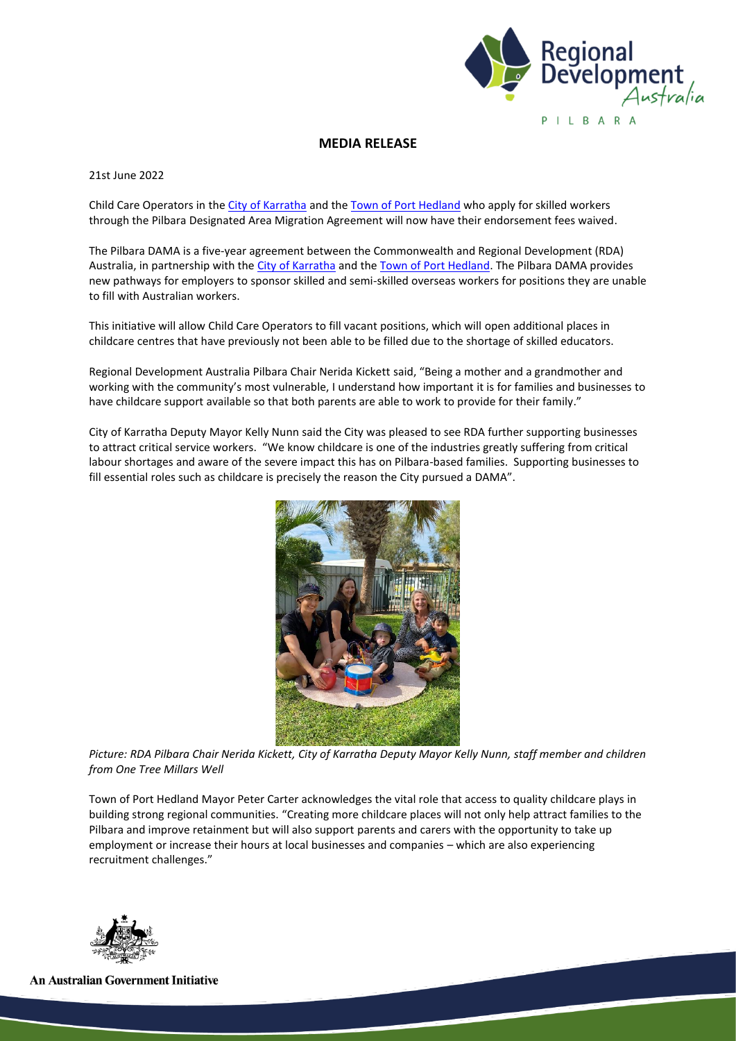

## **MEDIA RELEASE**

21st June 2022

Child Care Operators in th[e City of Karratha](https://www.linkedin.com/company/city-of-karratha/) and the [Town of Port Hedland](https://www.linkedin.com/company/town-of-port-hedland/) who apply for skilled workers through the Pilbara Designated Area Migration Agreement will now have their endorsement fees waived.

The Pilbara DAMA is a five-year agreement between the Commonwealth and Regional Development (RDA) Australia, in partnership with the [City of Karratha](https://www.linkedin.com/company/city-of-karratha/) and the [Town of Port Hedland.](https://www.linkedin.com/company/town-of-port-hedland/) The Pilbara DAMA provides new pathways for employers to sponsor skilled and semi-skilled overseas workers for positions they are unable to fill with Australian workers.

This initiative will allow Child Care Operators to fill vacant positions, which will open additional places in childcare centres that have previously not been able to be filled due to the shortage of skilled educators.

Regional Development Australia Pilbara Chair Nerida Kickett said, "Being a mother and a grandmother and working with the community's most vulnerable, I understand how important it is for families and businesses to have childcare support available so that both parents are able to work to provide for their family."

City of Karratha Deputy Mayor Kelly Nunn said the City was pleased to see RDA further supporting businesses to attract critical service workers. "We know childcare is one of the industries greatly suffering from critical labour shortages and aware of the severe impact this has on Pilbara-based families. Supporting businesses to fill essential roles such as childcare is precisely the reason the City pursued a DAMA".



*Picture: RDA Pilbara Chair Nerida Kickett, City of Karratha Deputy Mayor Kelly Nunn, staff member and children from One Tree Millars Well*

Town of Port Hedland Mayor Peter Carter acknowledges the vital role that access to quality childcare plays in building strong regional communities. "Creating more childcare places will not only help attract families to the Pilbara and improve retainment but will also support parents and carers with the opportunity to take up employment or increase their hours at local businesses and companies – which are also experiencing recruitment challenges."



**An Australian Government Initiative**